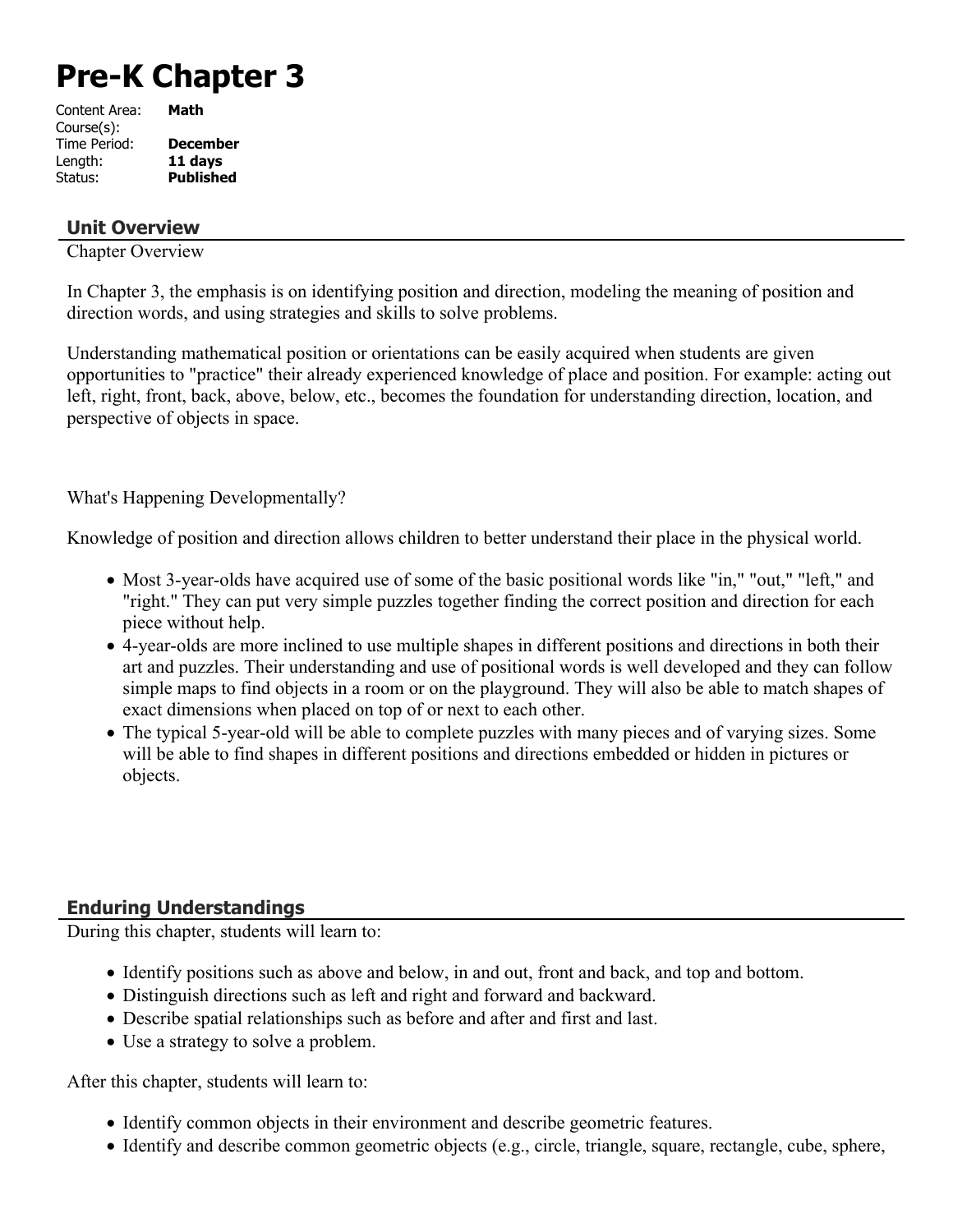# **Pre-K Chapter 3**

| Content Area: | Math             |
|---------------|------------------|
| Course(s):    |                  |
| Time Period:  | <b>December</b>  |
| Length:       | 11 days          |
| Status:       | <b>Published</b> |
|               |                  |

#### **Unit Overview**

Chapter Overview

In Chapter 3, the emphasis is on identifying position and direction, modeling the meaning of position and direction words, and using strategies and skills to solve problems.

Understanding mathematical position or orientations can be easily acquired when students are given opportunities to "practice" their already experienced knowledge of place and position. For example: acting out left, right, front, back, above, below, etc., becomes the foundation for understanding direction, location, and perspective of objects in space.

What's Happening Developmentally?

Knowledge of position and direction allows children to better understand their place in the physical world.

- Most 3-year-olds have acquired use of some of the basic positional words like "in," "out," "left," and "right." They can put very simple puzzles together finding the correct position and direction for each piece without help.
- 4-year-olds are more inclined to use multiple shapes in different positions and directions in both their art and puzzles. Their understanding and use of positional words is well developed and they can follow simple maps to find objects in a room or on the playground. They will also be able to match shapes of exact dimensions when placed on top of or next to each other.
- The typical 5-year-old will be able to complete puzzles with many pieces and of varying sizes. Some will be able to find shapes in different positions and directions embedded or hidden in pictures or objects.

## **Enduring Understandings**

During this chapter, students will learn to:

- Identify positions such as above and below, in and out, front and back, and top and bottom.
- Distinguish directions such as left and right and forward and backward.
- Describe spatial relationships such as before and after and first and last.
- Use a strategy to solve a problem.

After this chapter, students will learn to:

- Identify common objects in their environment and describe geometric features.
- $\bullet$  Identify and describe common geometric objects (e.g., circle, triangle, square, rectangle, cube, sphere,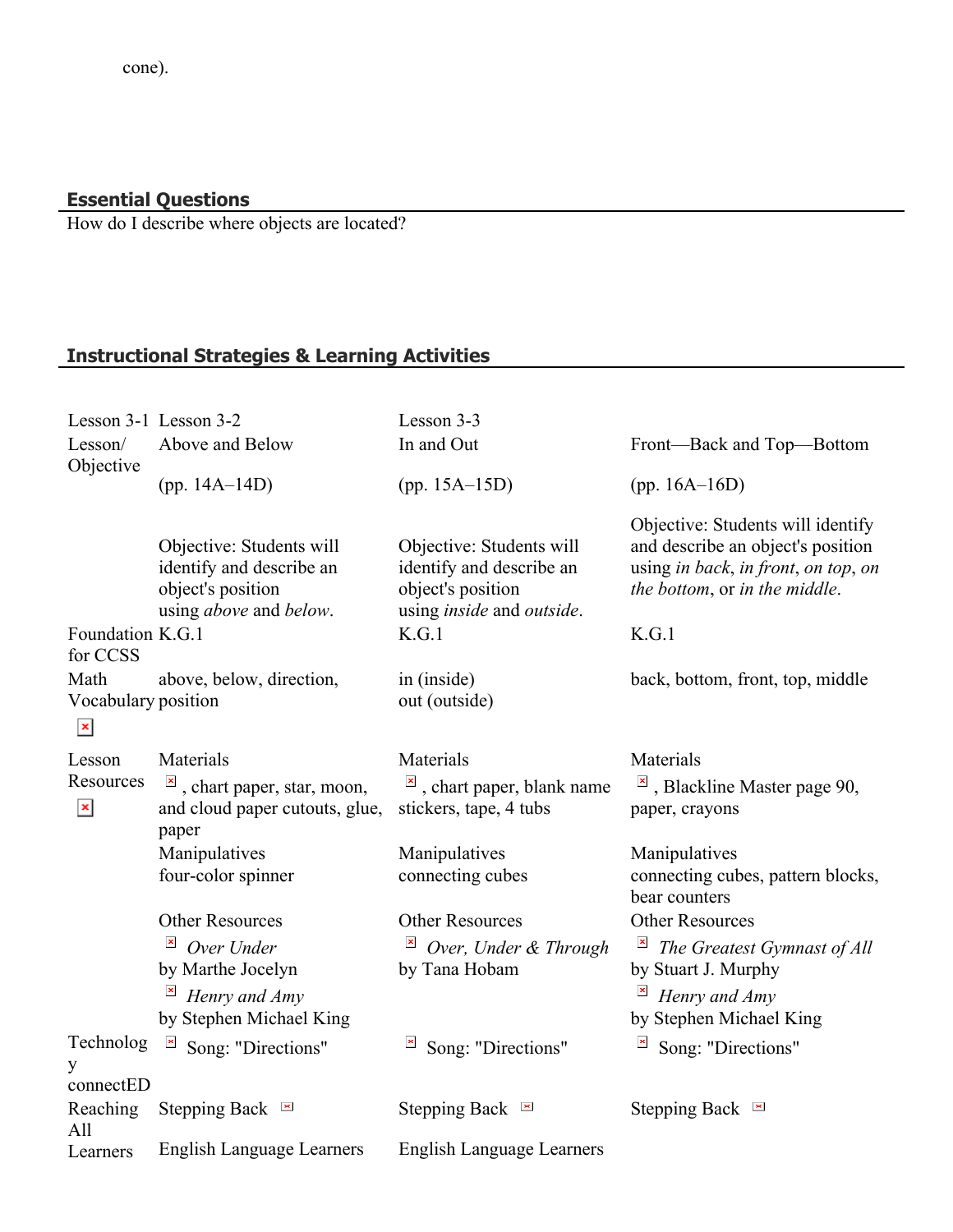#### **Essential Questions**

How do I describe where objects are located?

# **Instructional Strategies & Learning Activities**

| Lesson 3-1 Lesson 3-2                            |                                                                                                                         | Lesson 3-3                                                                                                                     |                                                                                                                                                         |
|--------------------------------------------------|-------------------------------------------------------------------------------------------------------------------------|--------------------------------------------------------------------------------------------------------------------------------|---------------------------------------------------------------------------------------------------------------------------------------------------------|
| Lesson/<br>Objective                             | Above and Below                                                                                                         | In and Out                                                                                                                     | Front-Back and Top-Bottom                                                                                                                               |
|                                                  | (pp. $14A-14D$ )                                                                                                        | $(pp. 15A-15D)$                                                                                                                | (pp. $16A-16D$ )                                                                                                                                        |
| Foundation K.G.1<br>for CCSS                     | Objective: Students will<br>identify and describe an<br>object's position<br>using above and below.                     | Objective: Students will<br>identify and describe an<br>object's position<br>using <i>inside</i> and <i>outside</i> .<br>K.G.1 | Objective: Students will identify<br>and describe an object's position<br>using in back, in front, on top, on<br>the bottom, or in the middle.<br>K.G.1 |
| Math<br>Vocabulary position<br>$\mathbf{x}$      | above, below, direction,                                                                                                | in (inside)<br>out (outside)                                                                                                   | back, bottom, front, top, middle                                                                                                                        |
| Lesson<br>Resources<br>$\boldsymbol{\mathsf{x}}$ | Materials<br>$\frac{ \mathbf{x} }{n}$ , chart paper, star, moon,<br>and cloud paper cutouts, glue,<br>paper             | Materials<br>$\frac{ \mathbf{x} }{n}$ , chart paper, blank name<br>stickers, tape, 4 tubs                                      | Materials<br>$\vert \cdot \vert$ , Blackline Master page 90,<br>paper, crayons                                                                          |
|                                                  | Manipulatives<br>four-color spinner                                                                                     | Manipulatives<br>connecting cubes                                                                                              | Manipulatives<br>connecting cubes, pattern blocks,<br>bear counters                                                                                     |
|                                                  | <b>Other Resources</b><br>$\pmb{\times}$<br>Over Under<br>by Marthe Jocelyn<br>Henry and Amy<br>by Stephen Michael King | <b>Other Resources</b><br>$\overline{\mathbb{E}}$ Over, Under & Through<br>by Tana Hobam                                       | <b>Other Resources</b><br>$\overline{\phantom{a}}$<br>The Greatest Gymnast of All<br>by Stuart J. Murphy<br>Henry and Amy<br>by Stephen Michael King    |
| Technolog<br>y<br>connectED                      | $\pmb{\times}$<br>Song: "Directions"                                                                                    | Song: "Directions"                                                                                                             | Song: "Directions"                                                                                                                                      |
| Reaching<br>All                                  | Stepping Back $\blacksquare$                                                                                            | Stepping Back $\blacksquare$                                                                                                   | Stepping Back $\blacksquare$                                                                                                                            |
| Learners                                         | <b>English Language Learners</b>                                                                                        | <b>English Language Learners</b>                                                                                               |                                                                                                                                                         |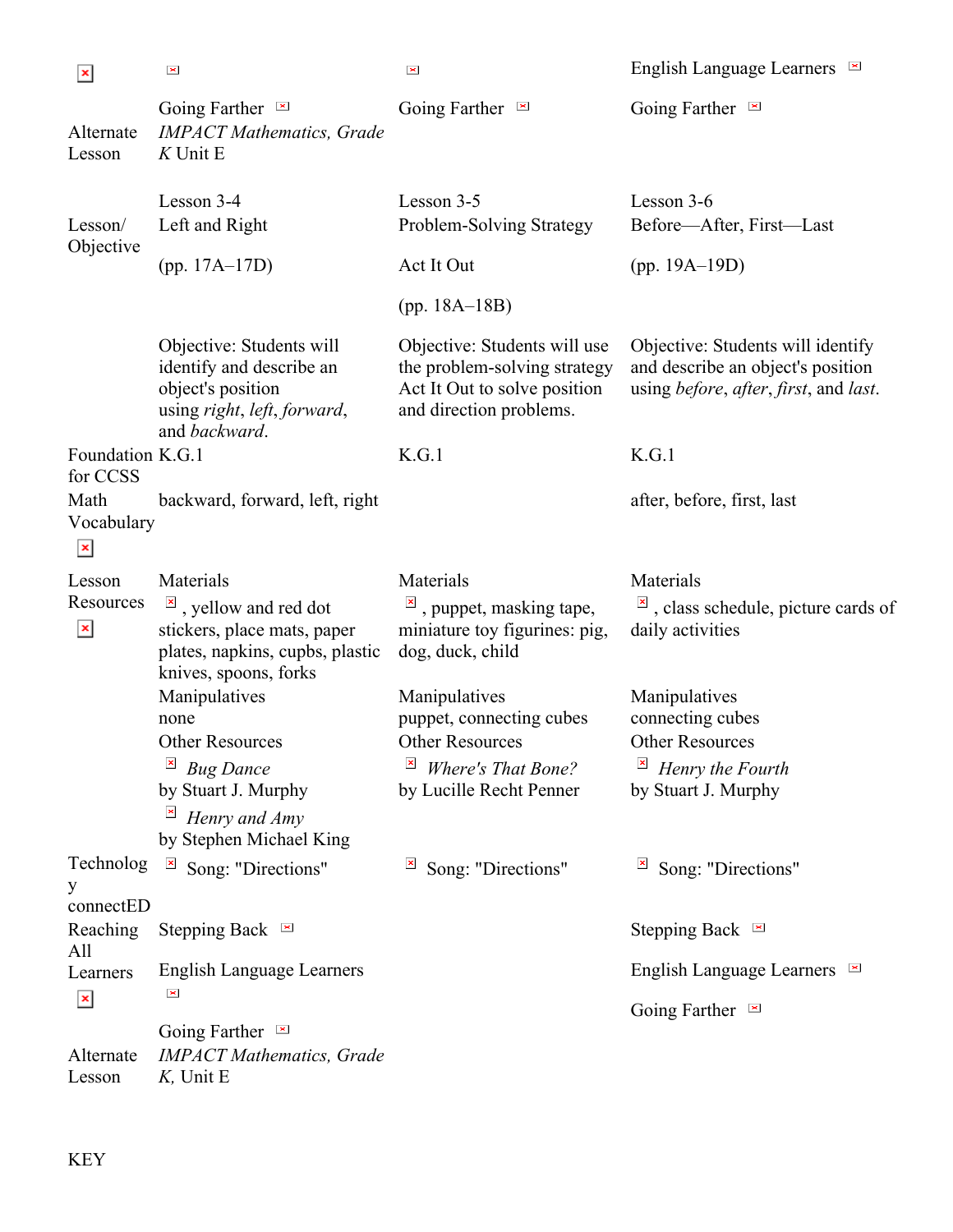$\vert x \vert$ 

 $\vert \times \vert$ 

 $\mathbf{z}$ 

English Language Learners

| Alternate<br>Lesson                   | Going Farther $\blacksquare$<br><b>IMPACT Mathematics</b> , Grade<br>$K$ Unit E                                             | Going Farther $\blacksquare$                                                                                                | Going Farther $\blacksquare$                                                                                                                    |
|---------------------------------------|-----------------------------------------------------------------------------------------------------------------------------|-----------------------------------------------------------------------------------------------------------------------------|-------------------------------------------------------------------------------------------------------------------------------------------------|
| Lesson/<br>Objective                  | Lesson 3-4<br>Left and Right                                                                                                | Lesson 3-5<br>Problem-Solving Strategy                                                                                      | Lesson 3-6<br>Before-After, First-Last                                                                                                          |
|                                       | $(pp. 17A-17D)$                                                                                                             | Act It Out                                                                                                                  | $(pp. 19A-19D)$                                                                                                                                 |
|                                       |                                                                                                                             | $(pp. 18A-18B)$                                                                                                             |                                                                                                                                                 |
|                                       | Objective: Students will<br>identify and describe an<br>object's position<br>using right, left, forward,<br>and backward.   | Objective: Students will use<br>the problem-solving strategy<br>Act It Out to solve position<br>and direction problems.     | Objective: Students will identify<br>and describe an object's position<br>using <i>before</i> , <i>after</i> , <i>first</i> , and <i>last</i> . |
| Foundation K.G.1<br>for CCSS          |                                                                                                                             | K.G.1                                                                                                                       | K.G.1                                                                                                                                           |
| Math<br>Vocabulary<br>$\pmb{\times}$  | backward, forward, left, right                                                                                              |                                                                                                                             | after, before, first, last                                                                                                                      |
| Lesson<br>Resources<br>$\pmb{\times}$ | Materials<br>$\overline{\mathbb{F}}$ , yellow and red dot<br>stickers, place mats, paper<br>plates, napkins, cupbs, plastic | Materials<br>, puppet, masking tape,<br>miniature toy figurines: pig,<br>dog, duck, child                                   | Materials<br>$\mathbb{E}$ , class schedule, picture cards of<br>daily activities                                                                |
|                                       | knives, spoons, forks<br>Manipulatives<br>none<br><b>Other Resources</b><br><b>Bug Dance</b><br>by Stuart J. Murphy         | Manipulatives<br>puppet, connecting cubes<br><b>Other Resources</b><br><b>Where's That Bone?</b><br>by Lucille Recht Penner | Manipulatives<br>connecting cubes<br><b>Other Resources</b><br>Henry the Fourth<br>by Stuart J. Murphy                                          |
|                                       | $\overline{\mathbb{F}}$ Henry and Amy<br>by Stephen Michael King                                                            |                                                                                                                             |                                                                                                                                                 |
| Technolog<br>y<br>connectED           | $\color{blue}\times$<br>Song: "Directions"                                                                                  | Song: "Directions"<br>$\mathbf{x}$                                                                                          | $\overline{\mathbb{F}}$ Song: "Directions"                                                                                                      |
| Reaching                              | Stepping Back $\blacksquare$                                                                                                |                                                                                                                             | Stepping Back $\blacksquare$                                                                                                                    |
| All<br>Learners                       | <b>English Language Learners</b><br>$\pmb{\times}$                                                                          |                                                                                                                             | English Language Learners $\blacksquare$                                                                                                        |
| $\pmb{\times}$<br>Alternate<br>Lesson | Going Farther $\blacksquare$<br><b>IMPACT Mathematics</b> , Grade<br>$K$ , Unit E                                           |                                                                                                                             | Going Farther $\blacksquare$                                                                                                                    |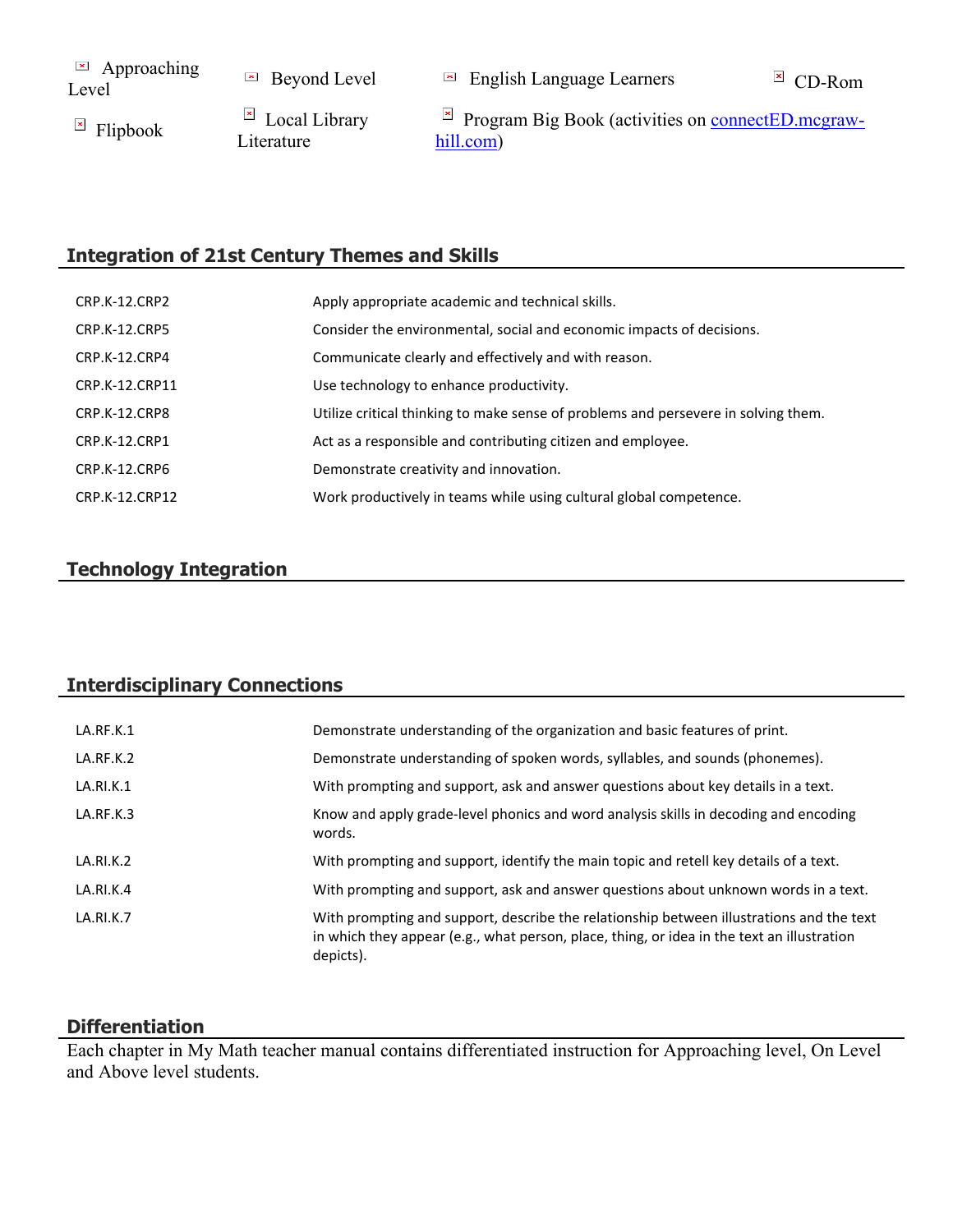$\Box$  Approaching<br>Level

 $\Box$  Beyond Level  $\Box$  English Language Learners  $\Box$  CD-Rom

E Flipbook Local Library Literature

 $\boxtimes$  Program Big Book (activities on [connectED.mcgraw](https://connected.mcgraw-hill.com/)[hill.com\)](https://connected.mcgraw-hill.com/)

# **Integration of 21st Century Themes and Skills**

| CRP.K-12.CRP2  | Apply appropriate academic and technical skills.                                   |
|----------------|------------------------------------------------------------------------------------|
| CRP.K-12.CRP5  | Consider the environmental, social and economic impacts of decisions.              |
| CRP.K-12.CRP4  | Communicate clearly and effectively and with reason.                               |
| CRP.K-12.CRP11 | Use technology to enhance productivity.                                            |
| CRP.K-12.CRP8  | Utilize critical thinking to make sense of problems and persevere in solving them. |
| CRP.K-12.CRP1  | Act as a responsible and contributing citizen and employee.                        |
| CRP.K-12.CRP6  | Demonstrate creativity and innovation.                                             |
| CRP.K-12.CRP12 | Work productively in teams while using cultural global competence.                 |

## **Technology Integration**

#### **Interdisciplinary Connections**

| LA.RF.K.1 | Demonstrate understanding of the organization and basic features of print.                                                                                                                          |
|-----------|-----------------------------------------------------------------------------------------------------------------------------------------------------------------------------------------------------|
| LA.RF.K.2 | Demonstrate understanding of spoken words, syllables, and sounds (phonemes).                                                                                                                        |
| LA.RI.K.1 | With prompting and support, ask and answer questions about key details in a text.                                                                                                                   |
| LA.RF.K.3 | Know and apply grade-level phonics and word analysis skills in decoding and encoding<br>words.                                                                                                      |
| LA.RI.K.2 | With prompting and support, identify the main topic and retell key details of a text.                                                                                                               |
| LA.RI.K.4 | With prompting and support, ask and answer questions about unknown words in a text.                                                                                                                 |
| LA.RI.K.7 | With prompting and support, describe the relationship between illustrations and the text<br>in which they appear (e.g., what person, place, thing, or idea in the text an illustration<br>depicts). |

#### **Differentiation**

Each chapter in My Math teacher manual contains differentiated instruction for Approaching level, On Level and Above level students.